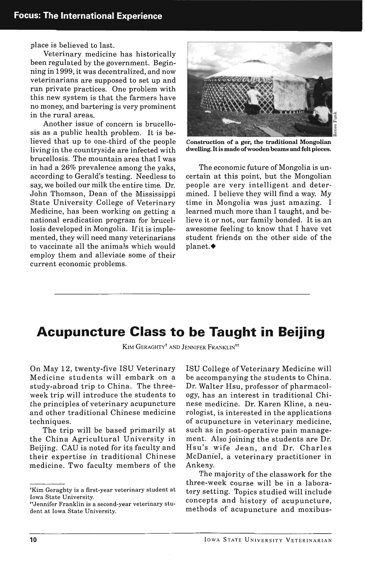place is believed to last.

Veterinary medicine has historically been regulated by the government. Beginning in 1999, it was decentralized, and now veterinarians are supposed to set up and run private practices. One problem with this new system is that the farmers have no money, and bartering is very prominent in the rural areas.

Another issue of concern is brucellosis as a public health problem. It is believed that up to one-third of the people living in the countryside are infected with brucellosis. The mountain area that I was in had a 26% prevalence among the yaks, according to Gerald's testing. Needless to say, we boiled our milk the entire time. Dr. John Thomson, Dean of the Mississippi State University College of Veterinary Medicine, has been working on getting a national eradication program for brucellosis developed in Mongolia. If it is implemented, they will need many veterinarians to vaccinate all the animals which would employ them and alleviate some of their current economic problems.



Construction of a ger, the traditional Mongolian dwelling. It is made of wooden beams and felt pieces.

The economic future of Mongolia is uncertain at this point, but the Mongolian people are very intelligent and determined. I believe they will find a way. My time in Mongolia was just amazing. I learned much more than I taught, and believe it or not, our family bonded. It is an awesome feeling to know that I have vet student friends on the other side of the planet.<sup>•</sup>

## **Acupuncture Class to be Taught in Beijing**

KIM GERAGHTY<sup>†</sup> AND JENNIFER FRANKLIN<sup>tt</sup>

On May 12, twenty-five ISU Veterinary Medicine students will embark on a study-abroad trip to China. The threeweek trip will introduce the students to the principles of veterinary acupuncture and other traditional Chinese medicine techniques.

The trip will be based primarily at the China Agricultural University in Beijing. CAU is noted for its faculty and their expertise in traditional Chinese medicine. Two faculty members of the ISU College of Veterinary Medicine will be accompanying the students to China. Dr. Walter Hsu, professor of pharmacology, has an interest in traditional Chinese medicine. Dr. Karen Kline, a neurologist, is interested in the applications of acupuncture in veterinary medicine, such as in post-operative pain management. Also joining the students are Dr. Hsu's wife Jean, and Dr. Charles McDaniel, a veterinary practitioner in Ankeny.

The majority of the classwork for the three-week course will be in a laboratory setting. Topics studied will include concepts and history of acupuncture, methods of acupuncture and moxibus-

tKim Geraghty is a first·year veterinary student at Iowa State University.

HJennifer Franklin is a second-year veterinary stu· dent at Iowa State University.